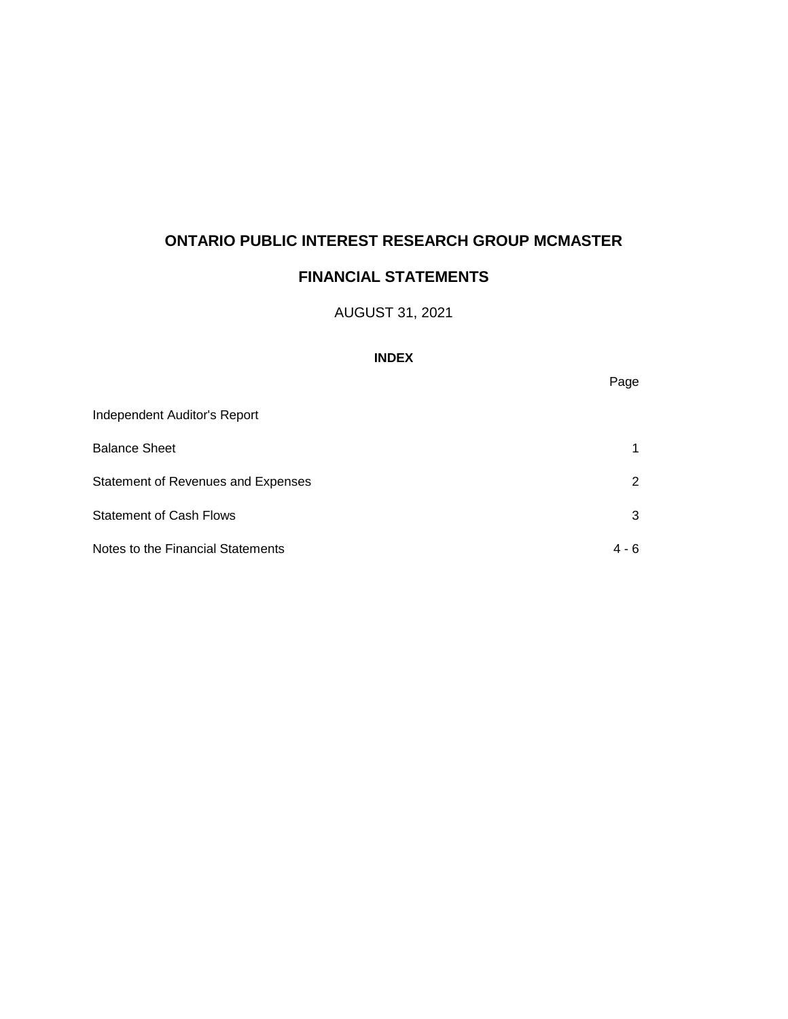# **FINANCIAL STATEMENTS**

## AUGUST 31, 2021

### **INDEX**

| Independent Auditor's Report       |       |
|------------------------------------|-------|
| <b>Balance Sheet</b>               | 1     |
| Statement of Revenues and Expenses | 2     |
| <b>Statement of Cash Flows</b>     | 3     |
| Notes to the Financial Statements  | 4 - 6 |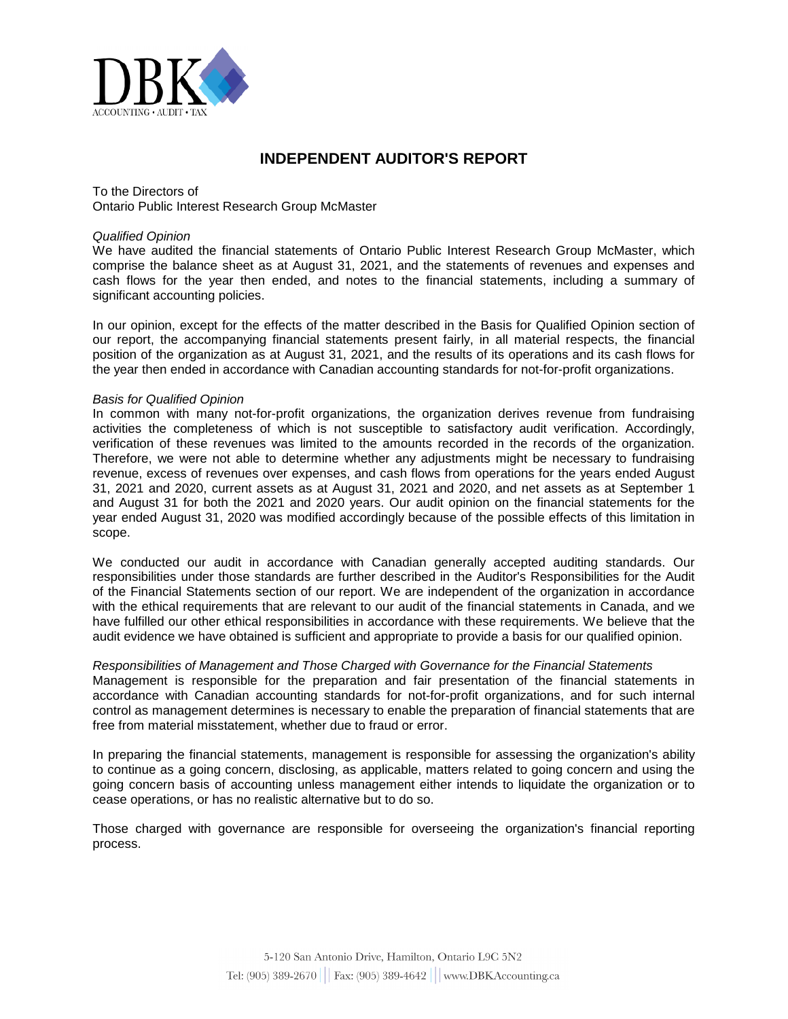

### **INDEPENDENT AUDITOR'S REPORT**

To the Directors of Ontario Public Interest Research Group McMaster

#### *Qualified Opinion*

We have audited the financial statements of Ontario Public Interest Research Group McMaster, which comprise the balance sheet as at August 31, 2021, and the statements of revenues and expenses and cash flows for the year then ended, and notes to the financial statements, including a summary of significant accounting policies.

In our opinion, except for the effects of the matter described in the Basis for Qualified Opinion section of our report, the accompanying financial statements present fairly, in all material respects, the financial position of the organization as at August 31, 2021, and the results of its operations and its cash flows for the year then ended in accordance with Canadian accounting standards for not-for-profit organizations.

#### *Basis for Qualified Opinion*

In common with many not-for-profit organizations, the organization derives revenue from fundraising activities the completeness of which is not susceptible to satisfactory audit verification. Accordingly, verification of these revenues was limited to the amounts recorded in the records of the organization. Therefore, we were not able to determine whether any adjustments might be necessary to fundraising revenue, excess of revenues over expenses, and cash flows from operations for the years ended August 31, 2021 and 2020, current assets as at August 31, 2021 and 2020, and net assets as at September 1 and August 31 for both the 2021 and 2020 years. Our audit opinion on the financial statements for the year ended August 31, 2020 was modified accordingly because of the possible effects of this limitation in scope.

We conducted our audit in accordance with Canadian generally accepted auditing standards. Our responsibilities under those standards are further described in the Auditor's Responsibilities for the Audit of the Financial Statements section of our report. We are independent of the organization in accordance with the ethical requirements that are relevant to our audit of the financial statements in Canada, and we have fulfilled our other ethical responsibilities in accordance with these requirements. We believe that the audit evidence we have obtained is sufficient and appropriate to provide a basis for our qualified opinion.

#### *Responsibilities of Management and Those Charged with Governance for the Financial Statements*

Management is responsible for the preparation and fair presentation of the financial statements in accordance with Canadian accounting standards for not-for-profit organizations, and for such internal control as management determines is necessary to enable the preparation of financial statements that are free from material misstatement, whether due to fraud or error.

In preparing the financial statements, management is responsible for assessing the organization's ability to continue as a going concern, disclosing, as applicable, matters related to going concern and using the going concern basis of accounting unless management either intends to liquidate the organization or to cease operations, or has no realistic alternative but to do so.

Those charged with governance are responsible for overseeing the organization's financial reporting process.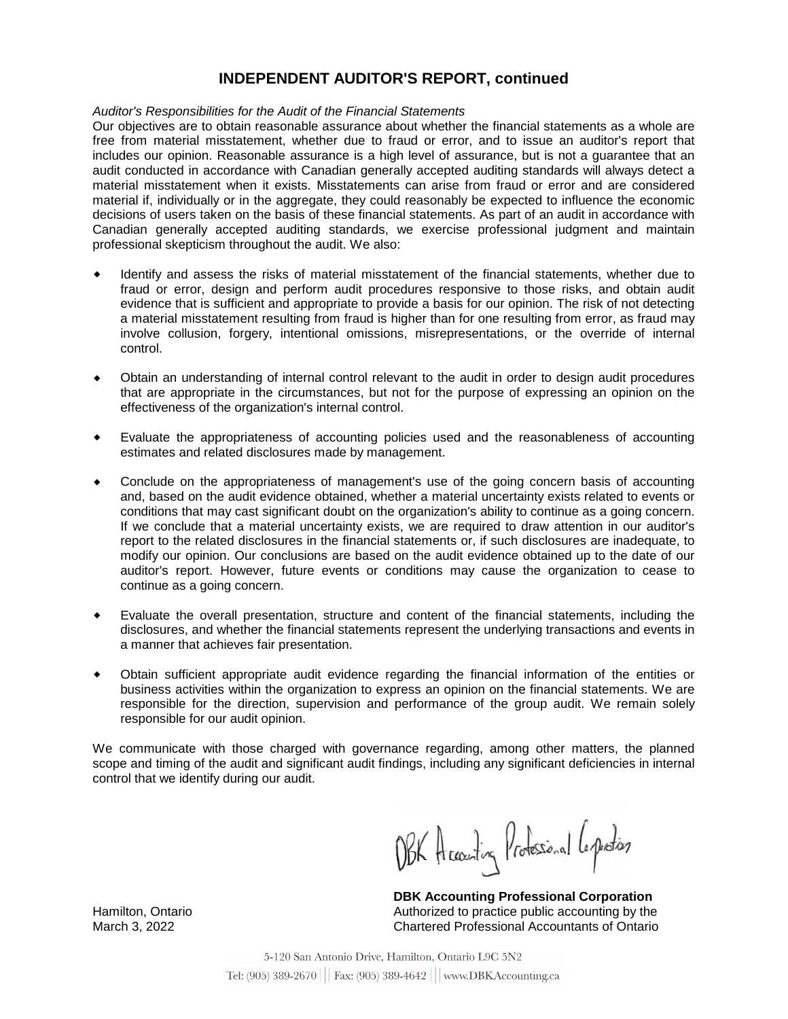## **INDEPENDENT AUDITOR'S REPORT, continued**

#### *Auditor's Responsibilities for the Audit of the Financial Statements*

Our objectives are to obtain reasonable assurance about whether the financial statements as a whole are free from material misstatement, whether due to fraud or error, and to issue an auditor's report that includes our opinion. Reasonable assurance is a high level of assurance, but is not a guarantee that an audit conducted in accordance with Canadian generally accepted auditing standards will always detect a material misstatement when it exists. Misstatements can arise from fraud or error and are considered material if, individually or in the aggregate, they could reasonably be expected to influence the economic decisions of users taken on the basis of these financial statements. As part of an audit in accordance with Canadian generally accepted auditing standards, we exercise professional judgment and maintain professional skepticism throughout the audit. We also:

- Identify and assess the risks of material misstatement of the financial statements, whether due to fraud or error, design and perform audit procedures responsive to those risks, and obtain audit evidence that is sufficient and appropriate to provide a basis for our opinion. The risk of not detecting a material misstatement resulting from fraud is higher than for one resulting from error, as fraud may involve collusion, forgery, intentional omissions, misrepresentations, or the override of internal control.
- Obtain an understanding of internal control relevant to the audit in order to design audit procedures that are appropriate in the circumstances, but not for the purpose of expressing an opinion on the effectiveness of the organization's internal control.
- Evaluate the appropriateness of accounting policies used and the reasonableness of accounting estimates and related disclosures made by management.
- Conclude on the appropriateness of management's use of the going concern basis of accounting and, based on the audit evidence obtained, whether a material uncertainty exists related to events or conditions that may cast significant doubt on the organization's ability to continue as a going concern. If we conclude that a material uncertainty exists, we are required to draw attention in our auditor's report to the related disclosures in the financial statements or, if such disclosures are inadequate, to modify our opinion. Our conclusions are based on the audit evidence obtained up to the date of our auditor's report. However, future events or conditions may cause the organization to cease to continue as a going concern.
- Evaluate the overall presentation, structure and content of the financial statements, including the disclosures, and whether the financial statements represent the underlying transactions and events in a manner that achieves fair presentation.
- Obtain sufficient appropriate audit evidence regarding the financial information of the entities or business activities within the organization to express an opinion on the financial statements. We are responsible for the direction, supervision and performance of the group audit. We remain solely responsible for our audit opinion.

We communicate with those charged with governance regarding, among other matters, the planned scope and timing of the audit and significant audit findings, including any significant deficiencies in internal control that we identify during our audit.

OBK Accounting Professional Corporation

**DBK Accounting Professional Corporation** Authorized to practice public accounting by the Chartered Professional Accountants of Ontario

Hamilton, Ontario March 3, 2022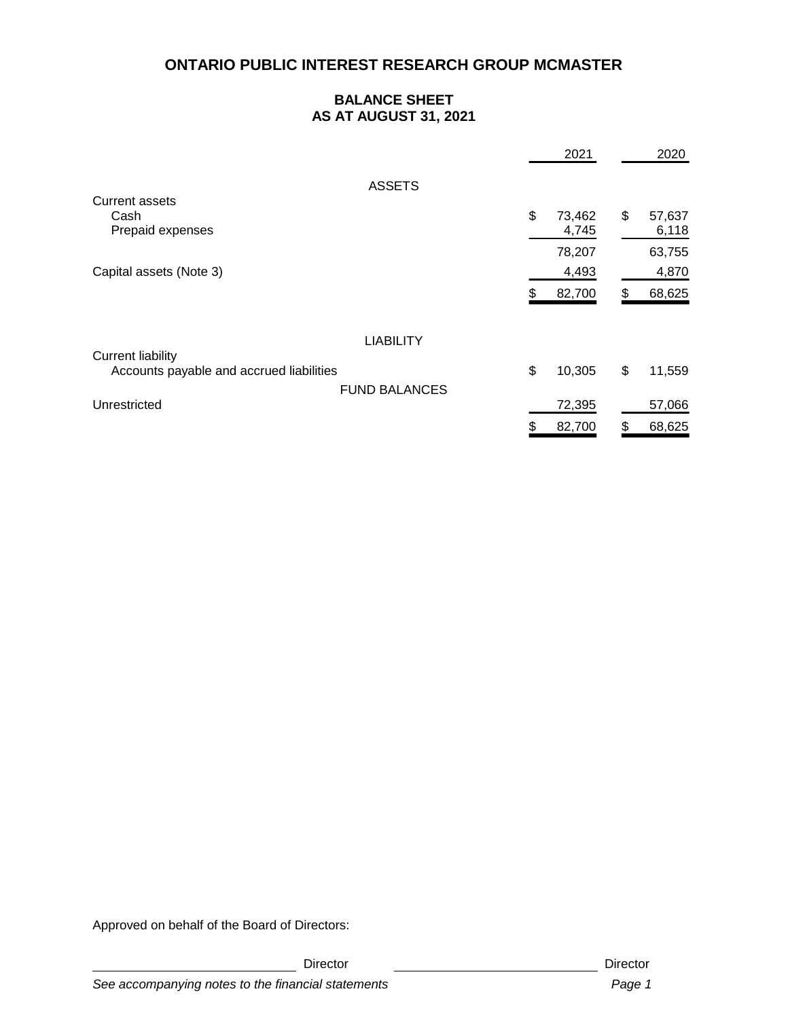### **BALANCE SHEET AS AT AUGUST 31, 2021**

|                                          | 2021         |    | 2020   |
|------------------------------------------|--------------|----|--------|
| <b>ASSETS</b>                            |              |    |        |
| Current assets                           |              |    |        |
| Cash                                     | \$<br>73,462 | \$ | 57,637 |
| Prepaid expenses                         | 4,745        |    | 6,118  |
|                                          | 78,207       |    | 63,755 |
| Capital assets (Note 3)                  | 4,493        |    | 4,870  |
|                                          | 82,700<br>Ж, | S  | 68,625 |
|                                          |              |    |        |
| <b>LIABILITY</b>                         |              |    |        |
| <b>Current liability</b>                 |              |    |        |
| Accounts payable and accrued liabilities | \$<br>10,305 | \$ | 11,559 |
| <b>FUND BALANCES</b>                     |              |    |        |
| Unrestricted                             | 72,395       |    | 57,066 |
|                                          | 82,700<br>\$ | \$ | 68,625 |

Approved on behalf of the Board of Directors:

Director **Director** Director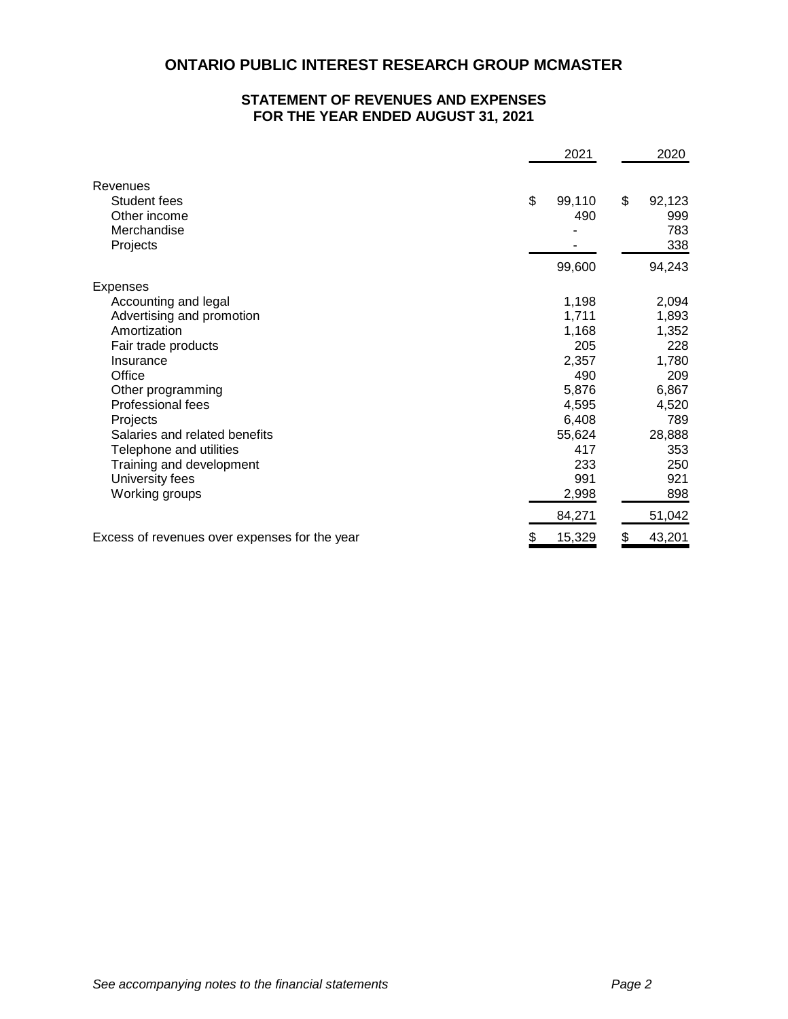### **STATEMENT OF REVENUES AND EXPENSES FOR THE YEAR ENDED AUGUST 31, 2021**

|                                               | 2021         | 2020         |
|-----------------------------------------------|--------------|--------------|
| Revenues                                      |              |              |
| Student fees                                  | \$<br>99,110 | \$<br>92,123 |
| Other income                                  | 490          | 999          |
| Merchandise                                   |              | 783          |
| Projects                                      |              | 338          |
|                                               | 99,600       | 94,243       |
| Expenses                                      |              |              |
| Accounting and legal                          | 1,198        | 2,094        |
| Advertising and promotion                     | 1,711        | 1,893        |
| Amortization                                  | 1,168        | 1,352        |
| Fair trade products                           | 205          | 228          |
| Insurance                                     | 2,357        | 1,780        |
| Office                                        | 490          | 209          |
| Other programming                             | 5,876        | 6,867        |
| Professional fees                             | 4,595        | 4,520        |
| Projects                                      | 6,408        | 789          |
| Salaries and related benefits                 | 55,624       | 28,888       |
| Telephone and utilities                       | 417          | 353          |
| Training and development                      | 233          | 250          |
| University fees                               | 991          | 921          |
| Working groups                                | 2,998        | 898          |
|                                               | 84,271       | 51,042       |
| Excess of revenues over expenses for the year | \$<br>15,329 | \$<br>43,201 |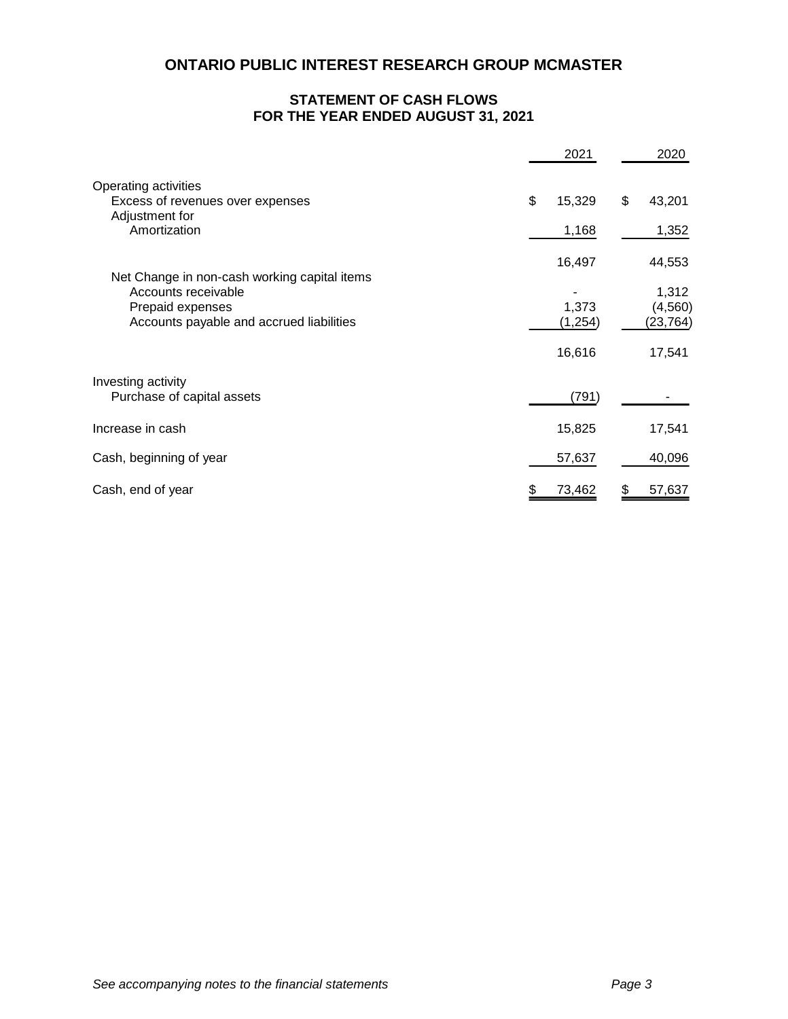### **STATEMENT OF CASH FLOWS FOR THE YEAR ENDED AUGUST 31, 2021**

|                                                                            | 2021         | 2020         |
|----------------------------------------------------------------------------|--------------|--------------|
| Operating activities<br>Excess of revenues over expenses<br>Adjustment for | \$<br>15,329 | \$<br>43,201 |
| Amortization                                                               | 1,168        | 1,352        |
| Net Change in non-cash working capital items                               | 16,497       | 44,553       |
| Accounts receivable                                                        |              | 1,312        |
| Prepaid expenses                                                           | 1,373        | (4, 560)     |
| Accounts payable and accrued liabilities                                   | (1, 254)     | (23,764)     |
|                                                                            | 16,616       | 17,541       |
| Investing activity                                                         |              |              |
| Purchase of capital assets                                                 | (791)        |              |
| Increase in cash                                                           | 15,825       | 17,541       |
| Cash, beginning of year                                                    | 57,637       | 40,096       |
| Cash, end of year                                                          | 73,462       | 57,637       |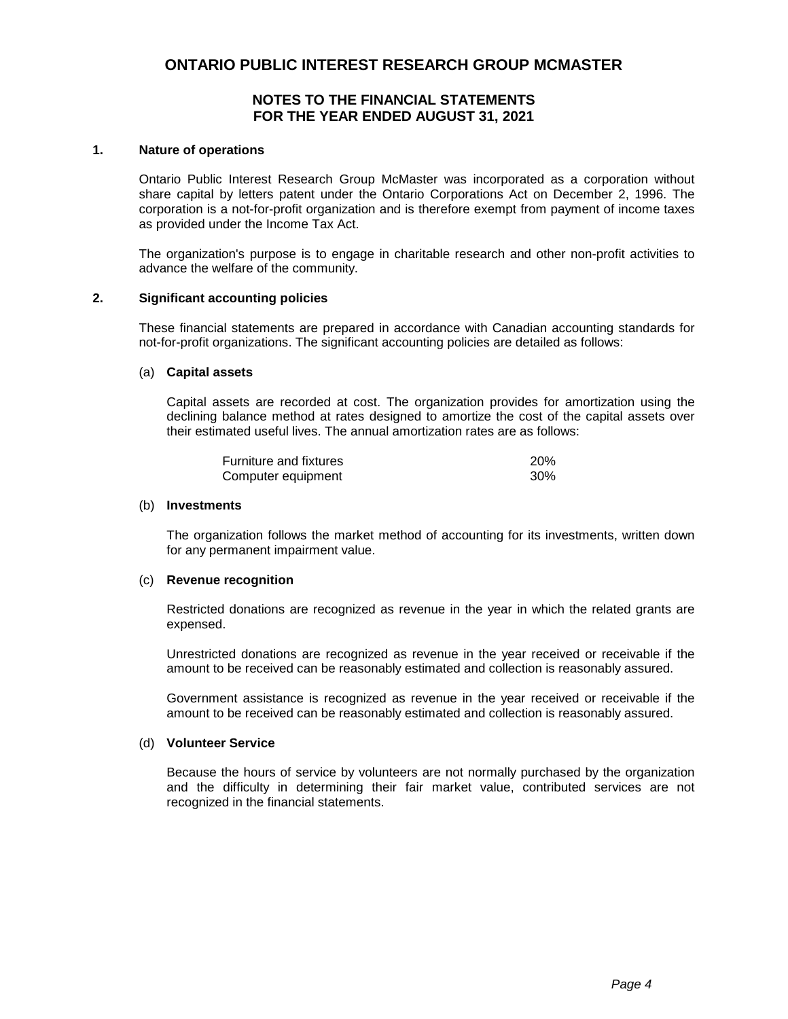### **NOTES TO THE FINANCIAL STATEMENTS FOR THE YEAR ENDED AUGUST 31, 2021**

#### **1. Nature of operations**

Ontario Public Interest Research Group McMaster was incorporated as a corporation without share capital by letters patent under the Ontario Corporations Act on December 2, 1996. The corporation is a not-for-profit organization and is therefore exempt from payment of income taxes as provided under the Income Tax Act.

The organization's purpose is to engage in charitable research and other non-profit activities to advance the welfare of the community.

#### **2. Significant accounting policies**

These financial statements are prepared in accordance with Canadian accounting standards for not-for-profit organizations. The significant accounting policies are detailed as follows:

#### (a) **Capital assets**

Capital assets are recorded at cost. The organization provides for amortization using the declining balance method at rates designed to amortize the cost of the capital assets over their estimated useful lives. The annual amortization rates are as follows:

| Furniture and fixtures | <b>20%</b> |
|------------------------|------------|
| Computer equipment     | $30\%$     |

#### (b) **Investments**

The organization follows the market method of accounting for its investments, written down for any permanent impairment value.

#### (c) **Revenue recognition**

Restricted donations are recognized as revenue in the year in which the related grants are expensed.

Unrestricted donations are recognized as revenue in the year received or receivable if the amount to be received can be reasonably estimated and collection is reasonably assured.

Government assistance is recognized as revenue in the year received or receivable if the amount to be received can be reasonably estimated and collection is reasonably assured.

#### (d) **Volunteer Service**

Because the hours of service by volunteers are not normally purchased by the organization and the difficulty in determining their fair market value, contributed services are not recognized in the financial statements.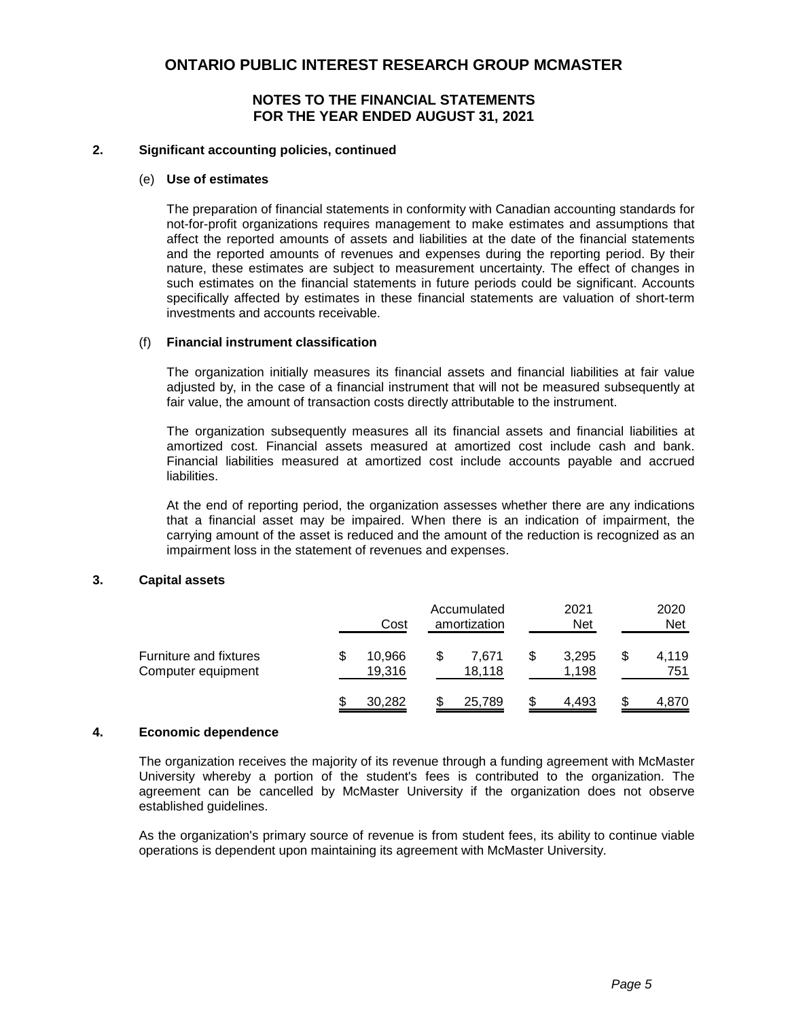### **NOTES TO THE FINANCIAL STATEMENTS FOR THE YEAR ENDED AUGUST 31, 2021**

#### **2. Significant accounting policies, continued**

#### (e) **Use of estimates**

The preparation of financial statements in conformity with Canadian accounting standards for not-for-profit organizations requires management to make estimates and assumptions that affect the reported amounts of assets and liabilities at the date of the financial statements and the reported amounts of revenues and expenses during the reporting period. By their nature, these estimates are subject to measurement uncertainty. The effect of changes in such estimates on the financial statements in future periods could be significant. Accounts specifically affected by estimates in these financial statements are valuation of short-term investments and accounts receivable.

#### (f) **Financial instrument classification**

The organization initially measures its financial assets and financial liabilities at fair value adjusted by, in the case of a financial instrument that will not be measured subsequently at fair value, the amount of transaction costs directly attributable to the instrument.

The organization subsequently measures all its financial assets and financial liabilities at amortized cost. Financial assets measured at amortized cost include cash and bank. Financial liabilities measured at amortized cost include accounts payable and accrued liabilities.

At the end of reporting period, the organization assesses whether there are any indications that a financial asset may be impaired. When there is an indication of impairment, the carrying amount of the asset is reduced and the amount of the reduction is recognized as an impairment loss in the statement of revenues and expenses.

#### **3. Capital assets**

|                                              | Cost             | Accumulated<br>amortization | 2021<br><b>Net</b> |    | 2020<br><b>Net</b> |
|----------------------------------------------|------------------|-----------------------------|--------------------|----|--------------------|
| Furniture and fixtures<br>Computer equipment | 10,966<br>19.316 | \$<br>7.671<br>18.118       | 3.295<br>1.198     | S  | 4,119<br>751       |
|                                              | 30,282           | 25,789                      | 4.493              | \$ | 4.870              |

#### **4. Economic dependence**

The organization receives the majority of its revenue through a funding agreement with McMaster University whereby a portion of the student's fees is contributed to the organization. The agreement can be cancelled by McMaster University if the organization does not observe established guidelines.

As the organization's primary source of revenue is from student fees, its ability to continue viable operations is dependent upon maintaining its agreement with McMaster University.